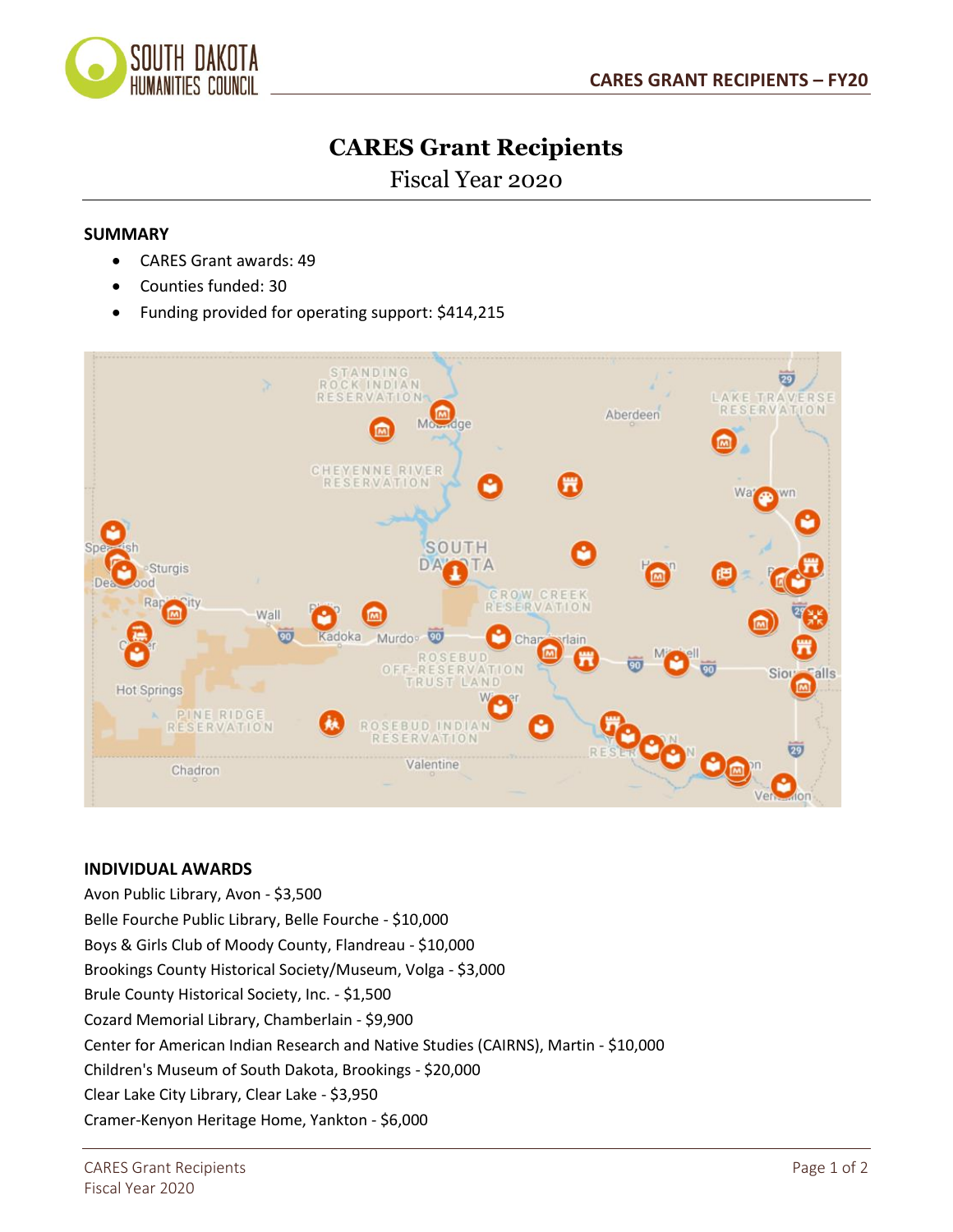

## **CARES Grant Recipients**

Fiscal Year 2020

## **SUMMARY**

- CARES Grant awards: 49
- Counties funded: 30
- Funding provided for operating support: \$414,215



## **INDIVIDUAL AWARDS**

Avon Public Library, Avon - \$3,500 Belle Fourche Public Library, Belle Fourche - \$10,000 Boys & Girls Club of Moody County, Flandreau - \$10,000 Brookings County Historical Society/Museum, Volga - \$3,000 Brule County Historical Society, Inc. - \$1,500 Cozard Memorial Library, Chamberlain - \$9,900 Center for American Indian Research and Native Studies (CAIRNS), Martin - \$10,000 Children's Museum of South Dakota, Brookings - \$20,000 Clear Lake City Library, Clear Lake - \$3,950 Cramer-Kenyon Heritage Home, Yankton - \$6,000